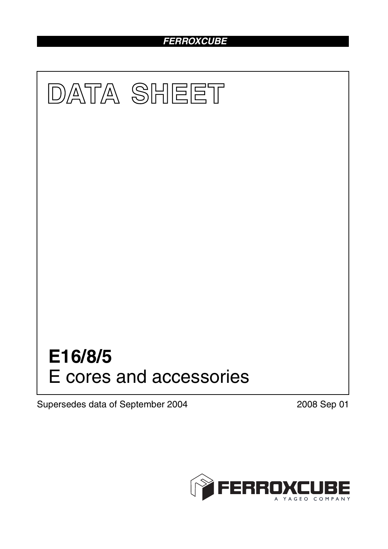# *FERROXCUBE*



Supersedes data of September 2004 2008 Sep 01

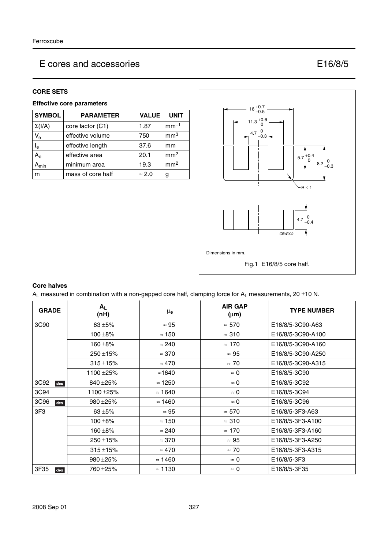#### **CORE SETS**

### **Effective core parameters**

| <b>SYMBOL</b>             | <b>PARAMETER</b>  | <b>VALUE</b>  | <b>UNIT</b>     |
|---------------------------|-------------------|---------------|-----------------|
| $\Sigma(I/A)$             | core factor (C1)  | 1.87          | $mm-1$          |
| $V_{e}$                   | effective volume  | 750           | mm <sup>3</sup> |
| l <sub>e</sub>            | effective length  | 37.6          | mm              |
| $A_{\rm e}$               | effective area    | 20.1          | mm <sup>2</sup> |
| $\mathbf{A}_{\text{min}}$ | minimum area      | 19.3          | mm <sup>2</sup> |
| m                         | mass of core half | $\approx 2.0$ | g               |



#### **Core halves**

 $A_L$  measured in combination with a non-gapped core half, clamping force for  $A_L$  measurements, 20 ±10 N.

| <b>GRADE</b> | $A_L$<br>(nH)  | $\mu_{\mathbf{e}}$ | <b>AIR GAP</b><br>$(\mu m)$ | <b>TYPE NUMBER</b> |
|--------------|----------------|--------------------|-----------------------------|--------------------|
| 3C90         | 63 $\pm$ 5%    | $\approx 95$       | $\approx 570$               | E16/8/5-3C90-A63   |
|              | $100 + 8%$     | $\approx$ 150      | $\approx 310$               | E16/8/5-3C90-A100  |
|              | $160 + 8%$     | $\approx 240$      | $\approx$ 170               | E16/8/5-3C90-A160  |
|              | $250 \pm 15\%$ | $\approx 370$      | $\approx 95$                | E16/8/5-3C90-A250  |
|              | $315 + 15%$    | $\approx 470$      | $\approx 70$                | E16/8/5-3C90-A315  |
|              | 1100 ±25%      | ≈1640              | $\approx 0$                 | E16/8/5-3C90       |
| 3C92<br>des  | 840 ± 25%      | $\approx$ 1250     | $\approx 0$                 | E16/8/5-3C92       |
| 3C94         | 1100 ± 25%     | $\approx$ 1640     | $\approx 0$                 | E16/8/5-3C94       |
| 3C96<br>des  | 980 ± 25%      | $\approx$ 1460     | $\approx 0$                 | E16/8/5-3C96       |
| 3F3          | 63 $\pm$ 5%    | $\approx 95$       | $\approx 570$               | E16/8/5-3F3-A63    |
|              | $100 + 8%$     | $\approx 150$      | $\approx 310$               | E16/8/5-3F3-A100   |
|              | 160 ±8%        | $\approx 240$      | $\approx 170$               | E16/8/5-3F3-A160   |
|              | $250 \pm 15\%$ | $\approx 370$      | $\approx 95$                | E16/8/5-3F3-A250   |
|              | $315 + 15%$    | $\approx 470$      | $\approx 70$                | E16/8/5-3F3-A315   |
|              | $980 + 25%$    | $\approx$ 1460     | $\approx 0$                 | E16/8/5-3F3        |
| 3F35<br>des  | 760 ± 25%      | $\approx$ 1130     | $\approx 0$                 | E16/8/5-3F35       |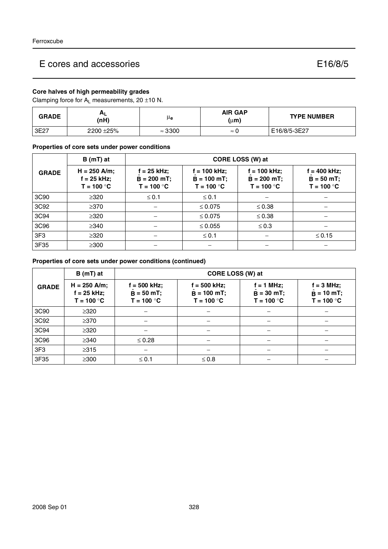## **Core halves of high permeability grades**

Clamping force for  $A_L$  measurements, 20  $\pm$ 10 N.

| <b>GRADE</b> | $H_L$<br>(nH) | μe             | <b>AIR GAP</b><br>(µ <b>m)</b> | <b>TYPE NUMBER</b> |
|--------------|---------------|----------------|--------------------------------|--------------------|
| 3E27         | 2200 ± 25%    | $\approx$ 3300 | $\approx$                      | E16/8/5-3E27       |

**Properties of core sets under power conditions**

|                  | $B(mT)$ at                                      | CORE LOSS (W) at                             |                                                 |                                                 |                                              |  |
|------------------|-------------------------------------------------|----------------------------------------------|-------------------------------------------------|-------------------------------------------------|----------------------------------------------|--|
| <b>GRADE</b>     | $H = 250$ A/m;<br>$f = 25$ kHz;<br>$T = 100 °C$ | f = 25 kHz;<br>$B = 200$ mT;<br>$T = 100 °C$ | $f = 100$ kHz;<br>$B = 100$ mT;<br>$T = 100 °C$ | $f = 100$ kHz;<br>$B = 200$ mT;<br>$T = 100 °C$ | i = 400 kHz;<br>$B = 50 mT;$<br>$T = 100 °C$ |  |
| 3C <sub>90</sub> | $\geq 320$                                      | $\leq$ 0.1                                   | $\leq 0.1$                                      |                                                 |                                              |  |
| 3C92             | $\geq$ 370                                      |                                              | $\leq 0.075$                                    | $\leq 0.38$                                     |                                              |  |
| 3C94             | $\geq$ 320                                      |                                              | $\leq 0.075$                                    | $\leq 0.38$                                     |                                              |  |
| 3C96             | $\geq$ 340                                      |                                              | $\leq 0.055$                                    | $\leq 0.3$                                      |                                              |  |
| 3F <sub>3</sub>  | $\geq$ 320                                      |                                              | $\leq 0.1$                                      |                                                 | $\leq$ 0.15                                  |  |
| 3F35             | $\geq$ 300                                      |                                              |                                                 |                                                 |                                              |  |

## **Properties of core sets under power conditions (continued)**

|                 | $B(mT)$ at                                      |                                                | CORE LOSS (W) at                                |                                            |                                                    |  |  |
|-----------------|-------------------------------------------------|------------------------------------------------|-------------------------------------------------|--------------------------------------------|----------------------------------------------------|--|--|
| <b>GRADE</b>    | $H = 250$ A/m;<br>$f = 25$ kHz;<br>$T = 100 °C$ | $f = 500$ kHz;<br>$B = 50$ mT;<br>$T = 100 °C$ | $f = 500$ kHz;<br>$B = 100$ mT;<br>$T = 100 °C$ | f = 1 MHz;<br>$B = 30$ mT;<br>$T = 100 °C$ | $f = 3$ MHz;<br>$\hat{B} = 10$ mT;<br>$T = 100 °C$ |  |  |
| 3C90            | $\geq 320$                                      |                                                |                                                 |                                            |                                                    |  |  |
| 3C92            | $\geq$ 370                                      |                                                |                                                 |                                            |                                                    |  |  |
| 3C94            | $\geq 320$                                      |                                                |                                                 |                                            |                                                    |  |  |
| 3C96            | $\geq$ 340                                      | $\leq 0.28$                                    |                                                 |                                            |                                                    |  |  |
| 3F <sub>3</sub> | $\geq 315$                                      |                                                |                                                 |                                            |                                                    |  |  |
| 3F35            | $\geq$ 300                                      | $\leq 0.1$                                     | $\leq 0.8$                                      |                                            |                                                    |  |  |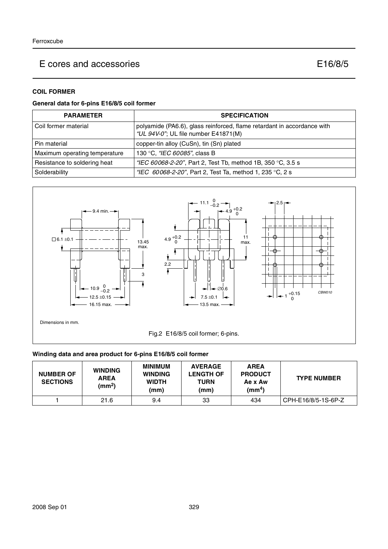#### **COIL FORMER**

## **General data for 6-pins E16/8/5 coil former**

| <b>PARAMETER</b>              | <b>SPECIFICATION</b>                                                                                            |
|-------------------------------|-----------------------------------------------------------------------------------------------------------------|
| Coil former material          | polyamide (PA6.6), glass reinforced, flame retardant in accordance with<br>"UL 94V-0"; UL file number E41871(M) |
| Pin material                  | copper-tin alloy (CuSn), tin (Sn) plated                                                                        |
| Maximum operating temperature | 130 °C, "IEC 60085", class B                                                                                    |
| Resistance to soldering heat  | "IEC 60068-2-20", Part 2, Test Tb, method 1B, 350 °C, 3.5 s                                                     |
| Solderability                 | "IEC $60068 - 2 - 20$ ", Part 2, Test Ta, method 1, 235 °C, 2 s                                                 |



## **Winding data and area product for 6-pins E16/8/5 coil former**

| <b>NUMBER OF</b><br><b>SECTIONS</b> | <b>WINDING</b><br><b>AREA</b><br>(mm <sup>2</sup> ) | <b>MINIMUM</b><br><b>WINDING</b><br><b>WIDTH</b><br>(mm) | <b>AVERAGE</b><br><b>LENGTH OF</b><br><b>TURN</b><br>(mm) | <b>AREA</b><br><b>PRODUCT</b><br>Ae x Aw<br>$\text{(mm}^4)$ | <b>TYPE NUMBER</b>  |
|-------------------------------------|-----------------------------------------------------|----------------------------------------------------------|-----------------------------------------------------------|-------------------------------------------------------------|---------------------|
|                                     | 21.6                                                | 9.4                                                      | 33                                                        | 434                                                         | CPH-E16/8/5-1S-6P-Z |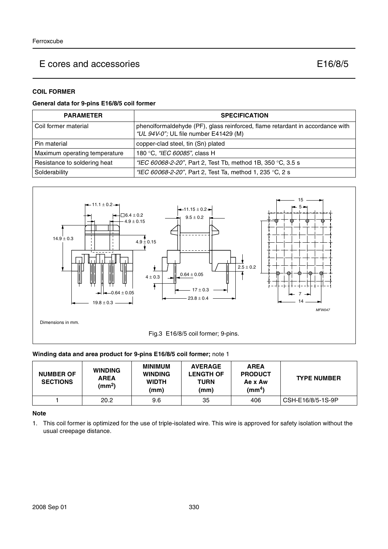#### **COIL FORMER**

## **General data for 9-pins E16/8/5 coil former**

| <b>PARAMETER</b>              | <b>SPECIFICATION</b>                                                                                                   |  |
|-------------------------------|------------------------------------------------------------------------------------------------------------------------|--|
| Coil former material          | phenolformaldehyde (PF), glass reinforced, flame retardant in accordance with<br>"UL 94V-0"; UL file number E41429 (M) |  |
| Pin material                  | copper-clad steel, tin (Sn) plated                                                                                     |  |
| Maximum operating temperature | 180 °C, "IEC 60085", class H                                                                                           |  |
| Resistance to soldering heat  | "IEC 60068-2-20", Part 2, Test Tb, method 1B, 350 °C, 3.5 s                                                            |  |
| Solderability                 | "IEC 60068-2-20", Part 2, Test Ta, method 1, 235 °C, 2 s                                                               |  |



#### **Winding data and area product for 9-pins E16/8/5 coil former;** note 1

| <b>NUMBER OF</b><br><b>SECTIONS</b> | <b>WINDING</b><br><b>AREA</b><br>(mm <sup>2</sup> ) | <b>MINIMUM</b><br><b>WINDING</b><br><b>WIDTH</b><br>(mm) | <b>AVERAGE</b><br><b>LENGTH OF</b><br>TURN<br>(mm) | <b>AREA</b><br><b>PRODUCT</b><br>Ae x Aw<br>(mm <sup>4</sup> ) | <b>TYPE NUMBER</b> |
|-------------------------------------|-----------------------------------------------------|----------------------------------------------------------|----------------------------------------------------|----------------------------------------------------------------|--------------------|
|                                     | 20.2                                                | 9.6                                                      | 35                                                 | 406                                                            | CSH-E16/8/5-1S-9P  |

#### **Note**

1. This coil former is optimized for the use of triple-isolated wire. This wire is approved for safety isolation without the usual creepage distance.